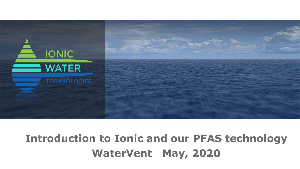

## **Introduction to Ionic and our PFAS technology WaterVent May, 2020**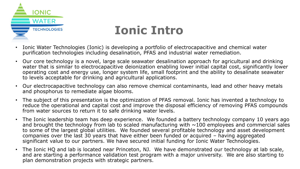

## **Ionic Intro**

- Ionic Water Technologies (Ionic) is developing a portfolio of electrocapacitive and chemical water purification technologies including desalination, PFAS and industrial water remediation.
- Our core technology is a novel, large scale seawater desalination approach for agricultural and drinking water that is similar to electrocapacitive deionization enabling lower initial capital cost, significantly lower operating cost and energy use, longer system life, small footprint and the ability to desalinate seawater to levels acceptable for drinking and agricultural applications.
- Our electrocapacitive technology can also remove chemical contaminants, lead and other heavy metals and phosphorus to remediate algae blooms.
- The subject of this presentation is the optimization of PFAS removal. Ionic has invented a technology to reduce the operational and capital cost and improve the disposal efficiency of removing PFAS compounds from water sources to return it to safe drinking water levels.
- The Ionic leadership team has deep experience. We founded a battery technology company 10 years ago and brought the technology from lab to scaled manufacturing with  $\sim$ 100 employees and commercial sales to some of the largest global utilities. We founded several profitable technology and asset development companies over the last 30 years that have either been funded or acquired – having aggregated significant value to our partners. We have secured initial funding for Ionic Water Technologies.
- The Ionic HQ and lab is located near Princeton, NJ. We have demonstrated our technology at lab scale, and are starting a performance validation test program with a major university. We are also starting to plan demonstration projects with strategic partners.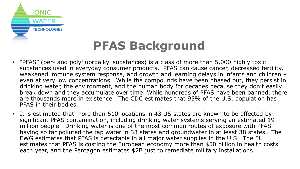

# **PFAS Background**

- "PFAS" (per- and polyfluoroalkyl substances) is a class of more than 5,000 highly toxic substances used in everyday consumer products. PFAS can cause cancer, decreased fertility, weakened immune system response, and growth and learning delays in infants and children – even at very low concentrations. While the compounds have been phased out, they persist in drinking water, the environment, and the human body for decades because they don't easily break down and they accumulate over time. While hundreds of PFAS have been banned, there are thousands more in existence. The CDC estimates that 95% of the U.S. population has PFAS in their bodies.
- It is estimated that more than 610 locations in 43 US states are known to be affected by significant PFAS contamination, including drinking water systems serving an estimated 19 million people. Drinking water is one of the most common routes of exposure with PFAS having so far polluted the tap water in 33 states and groundwater in at least 38 states. The EWG estimates that PFAS is detectable in all major water supplies in the U.S. The EU estimates that PFAS is costing the European economy more than \$50 billion in health costs each year, and the Pentagon estimates \$2B just to remediate military installations.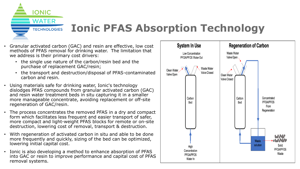**WATER TECHNOLOGIES** 

**IONIC** 

#### **Ionic PFAS Absorption Technology**

- Granular activated carbon (GAC) and resin are effective, low cost methods of PFAS removal for drinking water. The limitation that we address is their primary cost drivers:
	- the single use nature of the carbon/resin bed and the purchase of replacement GAC/resin;
	- the transport and destruction/disposal of PFAS-contaminated carbon and resin.
- Using materials safe for drinking water, Ionic's technology dislodges PFAS compounds from granular activated carbon (GAC) and resin water treatment beds in situ capturing it in a smaller more manageable concentrate, avoiding replacement or off-site regeneration of GAC/resin.
- The process concentrates the removed PFAS in a dry and compact form which facilitates less frequent and easier transport of safer, more compact and light-weight PFAS blocks for remote or on-site destruction, lowering cost of removal, transport & destruction.
- With regeneration of activated carbon in situ and able to be done more frequently and quickly, sizing of the bed can be optimized, lowering initial capital cost.
- Ionic is also developing a method to enhance absorption of PFAS into GAC or resin to improve performance and capital cost of PFAS removal systems.